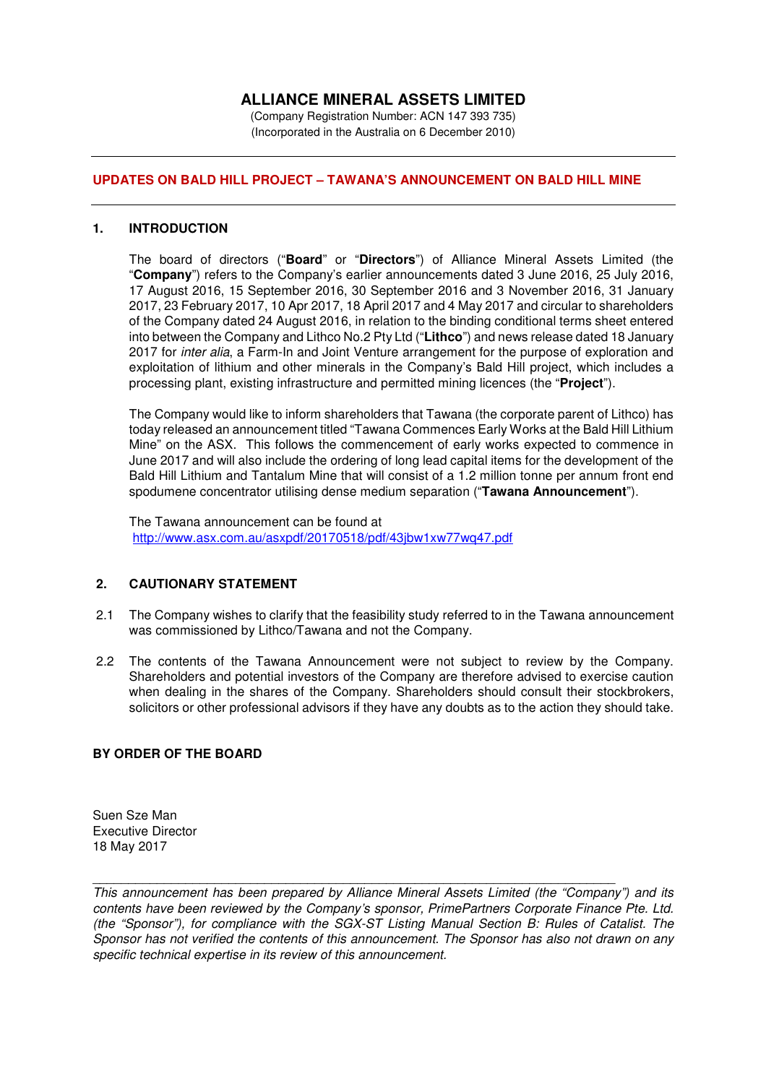# **ALLIANCE MINERAL ASSETS LIMITED**

(Company Registration Number: ACN 147 393 735) (Incorporated in the Australia on 6 December 2010)

## **UPDATES ON BALD HILL PROJECT – TAWANA'S ANNOUNCEMENT ON BALD HILL MINE**

#### **1. INTRODUCTION**

The board of directors ("**Board**" or "**Directors**") of Alliance Mineral Assets Limited (the "**Company**") refers to the Company's earlier announcements dated 3 June 2016, 25 July 2016, 17 August 2016, 15 September 2016, 30 September 2016 and 3 November 2016, 31 January 2017, 23 February 2017, 10 Apr 2017, 18 April 2017 and 4 May 2017 and circular to shareholders of the Company dated 24 August 2016, in relation to the binding conditional terms sheet entered into between the Company and Lithco No.2 Pty Ltd ("**Lithco**") and news release dated 18 January 2017 for *inter alia*, a Farm-In and Joint Venture arrangement for the purpose of exploration and exploitation of lithium and other minerals in the Company's Bald Hill project, which includes a processing plant, existing infrastructure and permitted mining licences (the "**Project**").

The Company would like to inform shareholders that Tawana (the corporate parent of Lithco) has today released an announcement titled "Tawana Commences Early Works at the Bald Hill Lithium Mine" on the ASX. This follows the commencement of early works expected to commence in June 2017 and will also include the ordering of long lead capital items for the development of the Bald Hill Lithium and Tantalum Mine that will consist of a 1.2 million tonne per annum front end spodumene concentrator utilising dense medium separation ("**Tawana Announcement**").

The Tawana announcement can be found at http://www.asx.com.au/asxpdf/20170518/pdf/43jbw1xw77wq47.pdf

## **2. CAUTIONARY STATEMENT**

- 2.1 The Company wishes to clarify that the feasibility study referred to in the Tawana announcement was commissioned by Lithco/Tawana and not the Company.
- 2.2 The contents of the Tawana Announcement were not subject to review by the Company. Shareholders and potential investors of the Company are therefore advised to exercise caution when dealing in the shares of the Company. Shareholders should consult their stockbrokers, solicitors or other professional advisors if they have any doubts as to the action they should take.

### **BY ORDER OF THE BOARD**

Suen Sze Man Executive Director 18 May 2017

*This announcement has been prepared by Alliance Mineral Assets Limited (the "Company") and its contents have been reviewed by the Company's sponsor, PrimePartners Corporate Finance Pte. Ltd. (the "Sponsor"), for compliance with the SGX-ST Listing Manual Section B: Rules of Catalist. The Sponsor has not verified the contents of this announcement. The Sponsor has also not drawn on any specific technical expertise in its review of this announcement.* 

\_\_\_\_\_\_\_\_\_\_\_\_\_\_\_\_\_\_\_\_\_\_\_\_\_\_\_\_\_\_\_\_\_\_\_\_\_\_\_\_\_\_\_\_\_\_\_\_\_\_\_\_\_\_\_\_\_\_\_\_\_\_\_\_\_\_\_\_\_\_\_\_\_